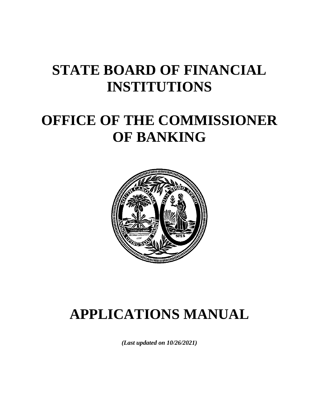# **STATE BOARD OF FINANCIAL INSTITUTIONS**

# **OFFICE OF THE COMMISSIONER OF BANKING**



# **APPLICATIONS MANUAL**

*(Last updated on 10/26/2021)*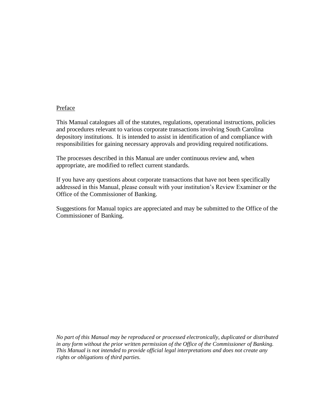#### Preface

This Manual catalogues all of the statutes, regulations, operational instructions, policies and procedures relevant to various corporate transactions involving South Carolina depository institutions. It is intended to assist in identification of and compliance with responsibilities for gaining necessary approvals and providing required notifications.

The processes described in this Manual are under continuous review and, when appropriate, are modified to reflect current standards.

If you have any questions about corporate transactions that have not been specifically addressed in this Manual, please consult with your institution's Review Examiner or the Office of the Commissioner of Banking.

Suggestions for Manual topics are appreciated and may be submitted to the Office of the Commissioner of Banking.

*No part of this Manual may be reproduced or processed electronically, duplicated or distributed in any form without the prior written permission of the Office of the Commissioner of Banking. This Manual is not intended to provide official legal interpretations and does not create any rights or obligations of third parties.*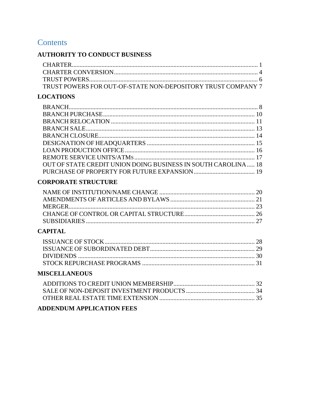## **Contents**

## **AUTHORITY TO CONDUCT BUSINESS**

| TRUST POWERS FOR OUT-OF-STATE NON-DEPOSITORY TRUST COMPANY 7 |  |
|--------------------------------------------------------------|--|

## **LOCATIONS**

| OUT OF STATE CREDIT UNION DOING BUSINESS IN SOUTH CAROLINA 18 |  |
|---------------------------------------------------------------|--|
|                                                               |  |

## **CORPORATE STRUCTURE**

## **CAPITAL**

## **MISCELLANEOUS**

## **ADDENDUM APPLICATION FEES**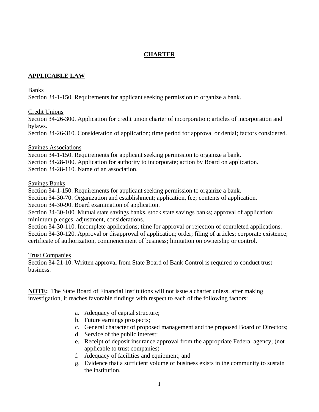## **CHARTER**

## <span id="page-3-1"></span><span id="page-3-0"></span>**APPLICABLE LAW**

#### Banks

Section 34-1-150. Requirements for applicant seeking permission to organize a bank.

#### Credit Unions

Section 34-26-300. Application for credit union charter of incorporation; articles of incorporation and bylaws.

Section 34-26-310. Consideration of application; time period for approval or denial; factors considered.

#### Savings Associations

Section 34-1-150. Requirements for applicant seeking permission to organize a bank. Section 34-28-100. Application for authority to incorporate; action by Board on application. Section 34-28-110. Name of an association.

#### Savings Banks

Section 34-1-150. Requirements for applicant seeking permission to organize a bank.

Section 34-30-70. Organization and establishment; application, fee; contents of application.

Section 34-30-90. Board examination of application.

Section 34-30-100. Mutual state savings banks, stock state savings banks; approval of application; minimum pledges, adjustment, considerations.

Section 34-30-110. Incomplete applications; time for approval or rejection of completed applications. Section 34-30-120. Approval or disapproval of application; order; filing of articles; corporate existence; certificate of authorization, commencement of business; limitation on ownership or control.

## Trust Companies

Section 34-21-10. Written approval from State Board of Bank Control is required to conduct trust business.

**NOTE:** The State Board of Financial Institutions will not issue a charter unless, after making investigation, it reaches favorable findings with respect to each of the following factors:

- a. Adequacy of capital structure;
- b. Future earnings prospects;
- c. General character of proposed management and the proposed Board of Directors;
- d. Service of the public interest;
- e. Receipt of deposit insurance approval from the appropriate Federal agency; (not applicable to trust companies)
- f. Adequacy of facilities and equipment; and
- g. Evidence that a sufficient volume of business exists in the community to sustain the institution.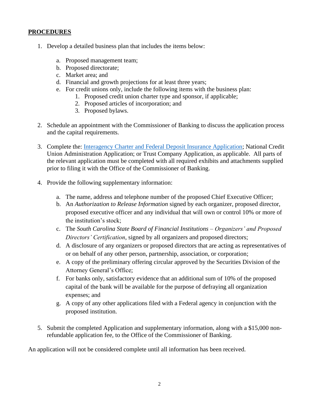## **PROCEDURES**

- 1. Develop a detailed business plan that includes the items below:
	- a. Proposed management team;
	- b. Proposed directorate;
	- c. Market area; and
	- d. Financial and growth projections for at least three years;
	- e. For credit unions only, include the following items with the business plan:
		- 1. Proposed credit union charter type and sponsor, if applicable;
		- 2. Proposed articles of incorporation; and
		- 3. Proposed bylaws.
- 2. Schedule an appointment with the Commissioner of Banking to discuss the application process and the capital requirements.
- 3. Complete the: [Interagency Charter and Federal Deposit Insurance Application;](https://www.fdic.gov/formsdocuments/interagencycharter-insuranceapplication.pdf) National Credit Union Administration Application; or Trust Company Application, as applicable. All parts of the relevant application must be completed with all required exhibits and attachments supplied prior to filing it with the Office of the Commissioner of Banking.
- 4. Provide the following supplementary information:
	- a. The name, address and telephone number of the proposed Chief Executive Officer;
	- b. An *Authorization to Release Information* signed by each organizer, proposed director, proposed executive officer and any individual that will own or control 10% or more of the institution's stock;
	- c. The *South Carolina State Board of Financial Institutions – Organizers' and Proposed Directors' Certification*, signed by all organizers and proposed directors;
	- d. A disclosure of any organizers or proposed directors that are acting as representatives of or on behalf of any other person, partnership, association, or corporation;
	- e. A copy of the preliminary offering circular approved by the Securities Division of the Attorney General's Office;
	- f. For banks only, satisfactory evidence that an additional sum of 10% of the proposed capital of the bank will be available for the purpose of defraying all organization expenses; and
	- g. A copy of any other applications filed with a Federal agency in conjunction with the proposed institution.
- 5. Submit the completed Application and supplementary information, along with a \$15,000 nonrefundable application fee, to the Office of the Commissioner of Banking.

An application will not be considered complete until all information has been received.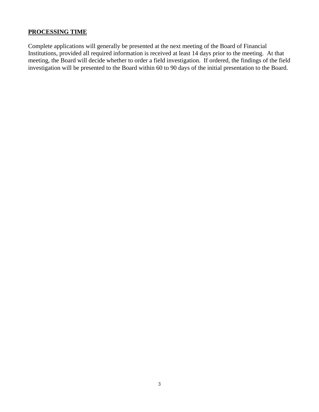#### **PROCESSING TIME**

Complete applications will generally be presented at the next meeting of the Board of Financial Institutions, provided all required information is received at least 14 days prior to the meeting. At that meeting, the Board will decide whether to order a field investigation. If ordered, the findings of the field investigation will be presented to the Board within 60 to 90 days of the initial presentation to the Board.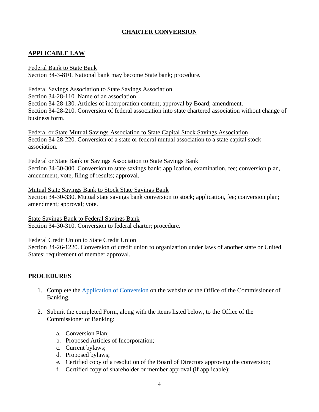## **CHARTER CONVERSION**

## <span id="page-6-0"></span>**APPLICABLE LAW**

#### Federal Bank to State Bank

Section 34-3-810. National bank may become State bank; procedure.

#### Federal Savings Association to State Savings Association

Section 34-28-110. Name of an association. Section 34-28-130. Articles of incorporation content; approval by Board; amendment. Section 34-28-210. Conversion of federal association into state chartered association without change of business form.

Federal or State Mutual Savings Association to State Capital Stock Savings Association Section 34-28-220. Conversion of a state or federal mutual association to a state capital stock association.

Federal or State Bank or Savings Association to State Savings Bank Section 34-30-300. Conversion to state savings bank; application, examination, fee; conversion plan, amendment; vote, filing of results; approval.

Mutual State Savings Bank to Stock State Savings Bank Section 34-30-330. Mutual state savings bank conversion to stock; application, fee; conversion plan; amendment; approval; vote.

State Savings Bank to Federal Savings Bank Section 34-30-310. Conversion to federal charter; procedure.

Federal Credit Union to State Credit Union

Section 34-26-1220. Conversion of credit union to organization under laws of another state or United States; requirement of member approval.

## **PROCEDURES**

- 1. Complete the [Application of Conversion](https://banking.sc.gov/sites/default/files/Documents/Forms/Application%20of%20Conversion%20to%20South%20Carolina-Chartered%20Institution%20-%20August%20Final%20-%20Form.pdf) on the website of the Office of the Commissioner of Banking.
- 2. Submit the completed Form, along with the items listed below, to the Office of the Commissioner of Banking:
	- a. Conversion Plan;
	- b. Proposed Articles of Incorporation;
	- c. Current bylaws;
	- d. Proposed bylaws;
	- e. Certified copy of a resolution of the Board of Directors approving the conversion;
	- f. Certified copy of shareholder or member approval (if applicable);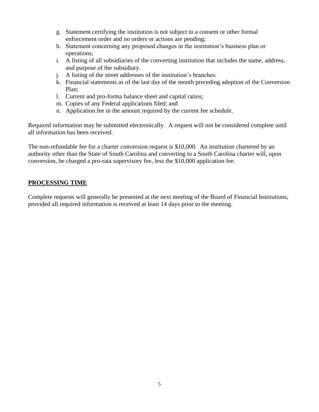- g. Statement certifying the institution is not subject to a consent or other formal enforcement order and no orders or actions are pending;
- h. Statement concerning any proposed changes in the institution's business plan or operations;
- i. A listing of all subsidiaries of the converting institution that includes the name, address, and purpose of the subsidiary.
- j. A listing of the street addresses of the institution's branches.
- k. Financial statements as of the last day of the month preceding adoption of the Conversion Plan;
- l. Current and pro-forma balance sheet and capital ratios;
- m. Copies of any Federal applications filed; and
- n. Application fee in the amount required by the current fee schedule.

Required information may be submitted electronically. A request will not be considered complete until all information has been received.

The non-refundable fee for a charter conversion request is \$10,000. An institution chartered by an authority other than the State of South Carolina and converting to a South Carolina charter will, upon conversion, be charged a pro-rata supervisory fee, less the \$10,000 application fee.

## **PROCESSING TIME**

Complete requests will generally be presented at the next meeting of the Board of Financial Institutions, provided all required information is received at least 14 days prior to the meeting.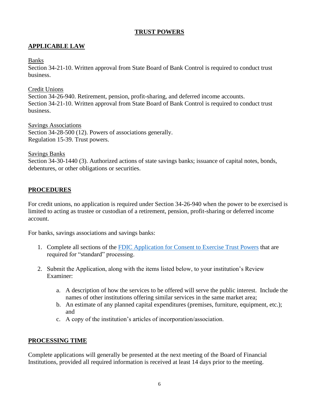#### **TRUST POWERS**

## <span id="page-8-0"></span>**APPLICABLE LAW**

#### Banks

Section 34-21-10. Written approval from State Board of Bank Control is required to conduct trust business.

#### Credit Unions

Section 34-26-940. Retirement, pension, profit-sharing, and deferred income accounts. Section 34-21-10. Written approval from State Board of Bank Control is required to conduct trust business.

Savings Associations Section 34-28-500 (12). Powers of associations generally. Regulation 15-39. Trust powers.

#### Savings Banks

Section 34-30-1440 (3). Authorized actions of state savings banks; issuance of capital notes, bonds, debentures, or other obligations or securities.

## **PROCEDURES**

For credit unions, no application is required under Section 34-26-940 when the power to be exercised is limited to acting as trustee or custodian of a retirement, pension, profit-sharing or deferred income account.

For banks, savings associations and savings banks:

- 1. Complete all sections of the [FDIC Application for Consent to Exercise Trust](https://www.fdic.gov/formsdocuments/6200-09.pdf) Powers that are required for "standard" processing.
- 2. Submit the Application, along with the items listed below, to your institution's Review Examiner:
	- a. A description of how the services to be offered will serve the public interest. Include the names of other institutions offering similar services in the same market area;
	- b. An estimate of any planned capital expenditures (premises, furniture, equipment, etc.); and
	- c. A copy of the institution's articles of incorporation/association.

## **PROCESSING TIME**

Complete applications will generally be presented at the next meeting of the Board of Financial Institutions, provided all required information is received at least 14 days prior to the meeting.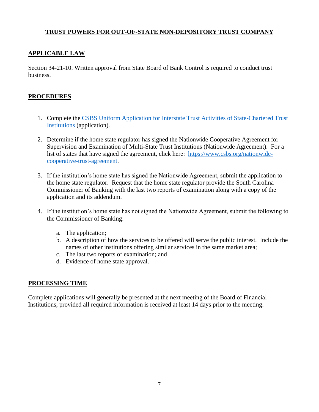## <span id="page-9-0"></span>**TRUST POWERS FOR OUT-OF-STATE NON-DEPOSITORY TRUST COMPANY**

## **APPLICABLE LAW**

Section 34-21-10. Written approval from State Board of Bank Control is required to conduct trust business.

## **PROCEDURES**

- 1. Complete the [CSBS Uniform Application for Interstate Trust Activities of State-Chartered Trust](https://www.csbs.org/sites/default/files/2017-12/uniform_appl_interstate_trust.pdf)  [Institutions](https://www.csbs.org/sites/default/files/2017-12/uniform_appl_interstate_trust.pdf) (application).
- 2. Determine if the home state regulator has signed the Nationwide Cooperative Agreement for Supervision and Examination of Multi-State Trust Institutions (Nationwide Agreement). For a list of states that have signed the agreement, click here: [https://www.csbs.org/nationwide](https://www.csbs.org/nationwide-cooperative-trust-agreement)[cooperative-trust-agreement.](https://www.csbs.org/nationwide-cooperative-trust-agreement)
- 3. If the institution's home state has signed the Nationwide Agreement, submit the application to the home state regulator. Request that the home state regulator provide the South Carolina Commissioner of Banking with the last two reports of examination along with a copy of the application and its addendum.
- 4. If the institution's home state has not signed the Nationwide Agreement, submit the following to the Commissioner of Banking:
	- a. The application;
	- b. A description of how the services to be offered will serve the public interest. Include the names of other institutions offering similar services in the same market area;
	- c. The last two reports of examination; and
	- d. Evidence of home state approval.

## **PROCESSING TIME**

Complete applications will generally be presented at the next meeting of the Board of Financial Institutions, provided all required information is received at least 14 days prior to the meeting.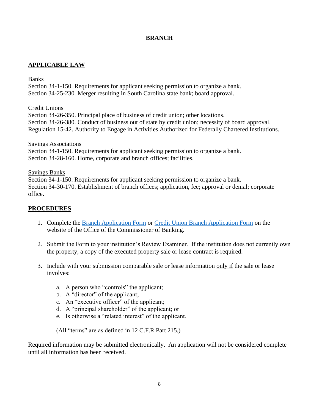## **BRANCH**

## <span id="page-10-1"></span><span id="page-10-0"></span>**APPLICABLE LAW**

#### Banks

Section 34-1-150. Requirements for applicant seeking permission to organize a bank. Section 34-25-230. Merger resulting in South Carolina state bank; board approval.

#### Credit Unions

Section 34-26-350. Principal place of business of credit union; other locations. Section 34-26-380. Conduct of business out of state by credit union; necessity of board approval. Regulation 15-42. Authority to Engage in Activities Authorized for Federally Chartered Institutions.

#### Savings Associations

Section 34-1-150. Requirements for applicant seeking permission to organize a bank. Section 34-28-160. Home, corporate and branch offices; facilities.

#### Savings Banks

Section 34-1-150. Requirements for applicant seeking permission to organize a bank. Section 34-30-170. Establishment of branch offices; application, fee; approval or denial; corporate office.

## **PROCEDURES**

- 1. Complete the [Branch Application Form](https://banking.sc.gov/sites/default/files/Documents/Forms/Bank%20Branch%20Application%20-%2010-11-2021%20Form.pdf) or [Credit Union Branch Application Form](https://banking.sc.gov/sites/default/files/Documents/Forms/Credit%20Union%20Branch%20Application%20-%2010-2020.pdf) on the website of the Office of the Commissioner of Banking.
- 2. Submit the Form to your institution's Review Examiner. If the institution does not currently own the property, a copy of the executed property sale or lease contract is required.
- 3. Include with your submission comparable sale or lease information only if the sale or lease involves:
	- a. A person who "controls" the applicant;
	- b. A "director" of the applicant;
	- c. An "executive officer" of the applicant;
	- d. A "principal shareholder" of the applicant; or
	- e. Is otherwise a "related interest" of the applicant.

(All "terms" are as defined in 12 C.F.R Part 215.)

Required information may be submitted electronically. An application will not be considered complete until all information has been received.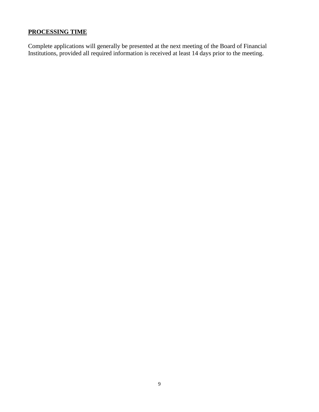## **PROCESSING TIME**

Complete applications will generally be presented at the next meeting of the Board of Financial Institutions, provided all required information is received at least 14 days prior to the meeting.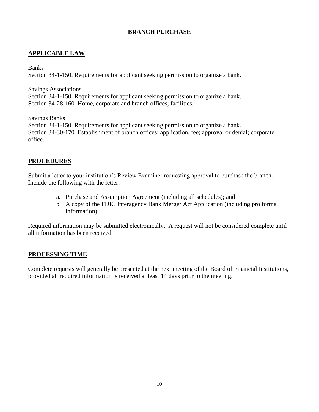## **BRANCH PURCHASE**

## <span id="page-12-0"></span>**APPLICABLE LAW**

#### Banks

Section 34-1-150. Requirements for applicant seeking permission to organize a bank.

#### Savings Associations

Section 34-1-150. Requirements for applicant seeking permission to organize a bank. Section 34-28-160. Home, corporate and branch offices; facilities.

Savings Banks

Section 34-1-150. Requirements for applicant seeking permission to organize a bank. Section 34-30-170. Establishment of branch offices; application, fee; approval or denial; corporate office.

## **PROCEDURES**

Submit a letter to your institution's Review Examiner requesting approval to purchase the branch. Include the following with the letter:

- a. Purchase and Assumption Agreement (including all schedules); and
- b. A copy of the FDIC Interagency Bank Merger Act Application (including pro forma information).

Required information may be submitted electronically. A request will not be considered complete until all information has been received.

## **PROCESSING TIME**

Complete requests will generally be presented at the next meeting of the Board of Financial Institutions, provided all required information is received at least 14 days prior to the meeting.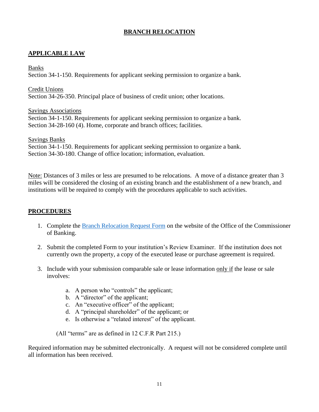## **BRANCH RELOCATION**

## <span id="page-13-0"></span>**APPLICABLE LAW**

#### Banks

Section 34-1-150. Requirements for applicant seeking permission to organize a bank.

Credit Unions

Section 34-26-350. Principal place of business of credit union; other locations.

Savings Associations

Section 34-1-150. Requirements for applicant seeking permission to organize a bank. Section 34-28-160 (4). Home, corporate and branch offices; facilities.

Savings Banks Section 34-1-150. Requirements for applicant seeking permission to organize a bank. Section 34-30-180. Change of office location; information, evaluation.

Note: Distances of 3 miles or less are presumed to be relocations. A move of a distance greater than 3 miles will be considered the closing of an existing branch and the establishment of a new branch, and institutions will be required to comply with the procedures applicable to such activities.

## **PROCEDURES**

- 1. Complete the [Branch Relocation Request Form](https://banking.sc.gov/sites/default/files/Documents/Forms/Branch%20Relocation%20Application%20-%203-2021%20Form.pdf) on the website of the Office of the Commissioner of Banking.
- 2. Submit the completed Form to your institution's Review Examiner. If the institution does not currently own the property, a copy of the executed lease or purchase agreement is required.
- 3. Include with your submission comparable sale or lease information only if the lease or sale involves:
	- a. A person who "controls" the applicant;
	- b. A "director" of the applicant;
	- c. An "executive officer" of the applicant;
	- d. A "principal shareholder" of the applicant; or
	- e. Is otherwise a "related interest" of the applicant.

(All "terms" are as defined in 12 C.F.R Part 215.)

Required information may be submitted electronically. A request will not be considered complete until all information has been received.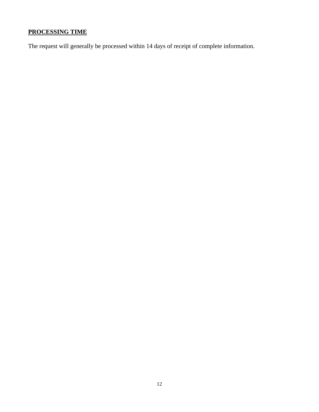## **PROCESSING TIME**

The request will generally be processed within 14 days of receipt of complete information.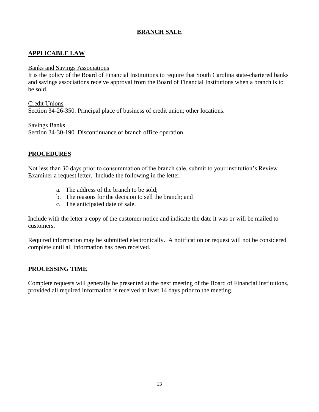## **BRANCH SALE**

## <span id="page-15-0"></span>**APPLICABLE LAW**

#### Banks and Savings Associations

It is the policy of the Board of Financial Institutions to require that South Carolina state-chartered banks and savings associations receive approval from the Board of Financial Institutions when a branch is to be sold.

Credit Unions

Section 34-26-350. Principal place of business of credit union; other locations.

Savings Banks

Section 34-30-190. Discontinuance of branch office operation.

## **PROCEDURES**

Not less than 30 days prior to consummation of the branch sale, submit to your institution's Review Examiner a request letter. Include the following in the letter:

- a. The address of the branch to be sold;
- b. The reasons for the decision to sell the branch; and
- c. The anticipated date of sale.

Include with the letter a copy of the customer notice and indicate the date it was or will be mailed to customers.

Required information may be submitted electronically. A notification or request will not be considered complete until all information has been received.

## **PROCESSING TIME**

Complete requests will generally be presented at the next meeting of the Board of Financial Institutions, provided all required information is received at least 14 days prior to the meeting.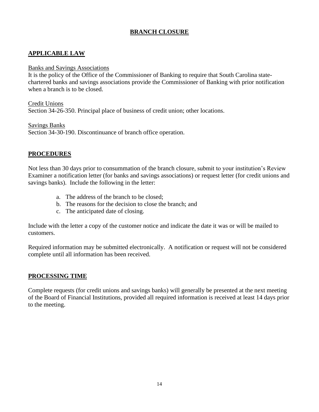## **BRANCH CLOSURE**

## <span id="page-16-0"></span>**APPLICABLE LAW**

#### Banks and Savings Associations

It is the policy of the Office of the Commissioner of Banking to require that South Carolina statechartered banks and savings associations provide the Commissioner of Banking with prior notification when a branch is to be closed.

Credit Unions

Section 34-26-350. Principal place of business of credit union; other locations.

Savings Banks Section 34-30-190. Discontinuance of branch office operation.

## **PROCEDURES**

Not less than 30 days prior to consummation of the branch closure, submit to your institution's Review Examiner a notification letter (for banks and savings associations) or request letter (for credit unions and savings banks). Include the following in the letter:

- a. The address of the branch to be closed;
- b. The reasons for the decision to close the branch; and
- c. The anticipated date of closing.

Include with the letter a copy of the customer notice and indicate the date it was or will be mailed to customers.

Required information may be submitted electronically. A notification or request will not be considered complete until all information has been received.

## **PROCESSING TIME**

Complete requests (for credit unions and savings banks) will generally be presented at the next meeting of the Board of Financial Institutions, provided all required information is received at least 14 days prior to the meeting.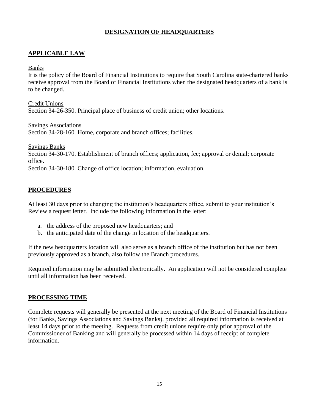## **DESIGNATION OF HEADQUARTERS**

## <span id="page-17-0"></span>**APPLICABLE LAW**

#### Banks

It is the policy of the Board of Financial Institutions to require that South Carolina state-chartered banks receive approval from the Board of Financial Institutions when the designated headquarters of a bank is to be changed.

Credit Unions

Section 34-26-350. Principal place of business of credit union; other locations.

Savings Associations Section 34-28-160. Home, corporate and branch offices; facilities.

Savings Banks Section 34-30-170. Establishment of branch offices; application, fee; approval or denial; corporate office. Section 34-30-180. Change of office location; information, evaluation.

## **PROCEDURES**

At least 30 days prior to changing the institution's headquarters office, submit to your institution's Review a request letter. Include the following information in the letter:

- a. the address of the proposed new headquarters; and
- b. the anticipated date of the change in location of the headquarters.

If the new headquarters location will also serve as a branch office of the institution but has not been previously approved as a branch, also follow the Branch procedures.

Required information may be submitted electronically. An application will not be considered complete until all information has been received.

## **PROCESSING TIME**

Complete requests will generally be presented at the next meeting of the Board of Financial Institutions (for Banks, Savings Associations and Savings Banks), provided all required information is received at least 14 days prior to the meeting. Requests from credit unions require only prior approval of the Commissioner of Banking and will generally be processed within 14 days of receipt of complete information.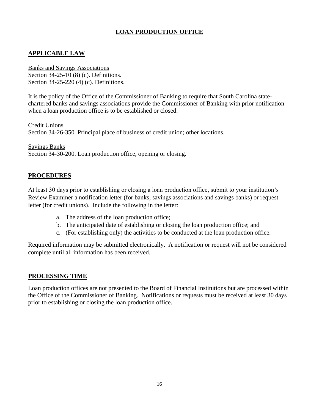## **LOAN PRODUCTION OFFICE**

## <span id="page-18-0"></span>**APPLICABLE LAW**

Banks and Savings Associations Section 34-25-10 (8) (c). Definitions. Section 34-25-220 (4) (c). Definitions.

It is the policy of the Office of the Commissioner of Banking to require that South Carolina statechartered banks and savings associations provide the Commissioner of Banking with prior notification when a loan production office is to be established or closed.

Credit Unions Section 34-26-350. Principal place of business of credit union; other locations.

Savings Banks Section 34-30-200. Loan production office, opening or closing.

#### **PROCEDURES**

At least 30 days prior to establishing or closing a loan production office, submit to your institution's Review Examiner a notification letter (for banks, savings associations and savings banks) or request letter (for credit unions). Include the following in the letter:

- a. The address of the loan production office;
- b. The anticipated date of establishing or closing the loan production office; and
- c. (For establishing only) the activities to be conducted at the loan production office.

Required information may be submitted electronically. A notification or request will not be considered complete until all information has been received.

#### **PROCESSING TIME**

Loan production offices are not presented to the Board of Financial Institutions but are processed within the Office of the Commissioner of Banking. Notifications or requests must be received at least 30 days prior to establishing or closing the loan production office.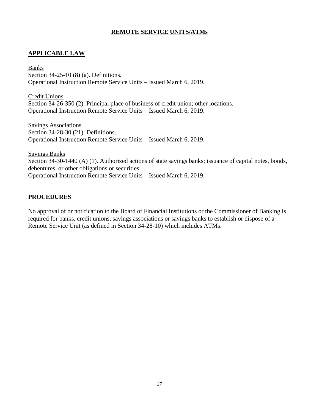## **REMOTE SERVICE UNITS/ATMs**

## <span id="page-19-0"></span>**APPLICABLE LAW**

Banks Section 34-25-10 (8) (a). Definitions. Operational Instruction Remote Service Units – Issued March 6, 2019.

Credit Unions Section 34-26-350 (2). Principal place of business of credit union; other locations. Operational Instruction Remote Service Units – Issued March 6, 2019.

Savings Associations Section 34-28-30 (21). Definitions. Operational Instruction Remote Service Units – Issued March 6, 2019.

Savings Banks Section 34-30-1440 (A) (1). Authorized actions of state savings banks; issuance of capital notes, bonds, debentures, or other obligations or securities. Operational Instruction Remote Service Units – Issued March 6, 2019.

## **PROCEDURES**

No approval of or notification to the Board of Financial Institutions or the Commissioner of Banking is required for banks, credit unions, savings associations or savings banks to establish or dispose of a Remote Service Unit (as defined in Section 34-28-10) which includes ATMs.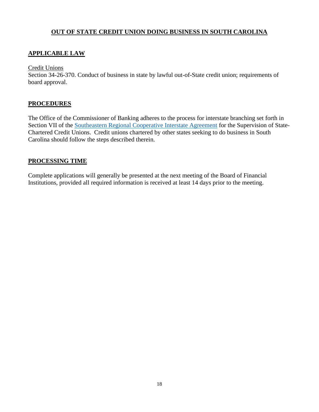## **OUT OF STATE CREDIT UNION DOING BUSINESS IN SOUTH CAROLINA**

## <span id="page-20-0"></span>**APPLICABLE LAW**

Credit Unions

Section 34-26-370. Conduct of business in state by lawful out-of-State credit union; requirements of board approval.

## **PROCEDURES**

The Office of the Commissioner of Banking adheres to the process for interstate branching set forth in Section VII of the [Southeastern Regional Cooperative Interstate Agreement](https://www.nascus.org/wp-content/uploads/2019/05/2008-Southeast-Interstate-Agreement.pdf) for the Supervision of State-Chartered Credit Unions. Credit unions chartered by other states seeking to do business in South Carolina should follow the steps described therein.

## **PROCESSING TIME**

Complete applications will generally be presented at the next meeting of the Board of Financial Institutions, provided all required information is received at least 14 days prior to the meeting.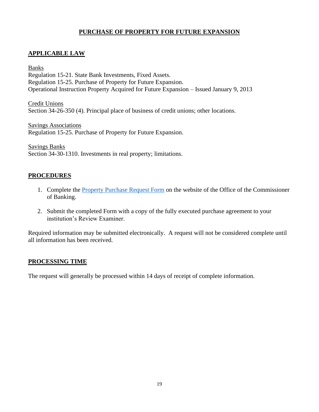## **PURCHASE OF PROPERTY FOR FUTURE EXPANSION**

## <span id="page-21-0"></span>**APPLICABLE LAW**

Banks Regulation 15-21. State Bank Investments, Fixed Assets. Regulation 15-25. Purchase of Property for Future Expansion. Operational Instruction Property Acquired for Future Expansion – Issued January 9, 2013

Credit Unions Section 34-26-350 (4). Principal place of business of credit unions; other locations.

Savings Associations Regulation 15-25. Purchase of Property for Future Expansion.

Savings Banks

Section 34-30-1310. Investments in real property; limitations.

#### **PROCEDURES**

- 1. Complete the [Property Purchase Request Form](https://banking.sc.gov/sites/default/files/Documents/Forms/Property%20Purchase%20Request%20-%202-2021%20Form.pdf) on the website of the Office of the Commissioner of Banking.
- 2. Submit the completed Form with a copy of the fully executed purchase agreement to your institution's Review Examiner.

Required information may be submitted electronically. A request will not be considered complete until all information has been received.

## **PROCESSING TIME**

The request will generally be processed within 14 days of receipt of complete information.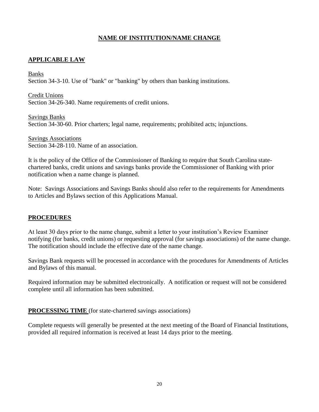## **NAME OF INSTITUTION/NAME CHANGE**

## <span id="page-22-1"></span><span id="page-22-0"></span>**APPLICABLE LAW**

Banks

Section 34-3-10. Use of "bank" or "banking" by others than banking institutions.

Credit Unions Section 34-26-340. Name requirements of credit unions.

Savings Banks Section 34-30-60. Prior charters; legal name, requirements; prohibited acts; injunctions.

Savings Associations Section 34-28-110. Name of an association.

It is the policy of the Office of the Commissioner of Banking to require that South Carolina statechartered banks, credit unions and savings banks provide the Commissioner of Banking with prior notification when a name change is planned.

Note: Savings Associations and Savings Banks should also refer to the requirements for Amendments to Articles and Bylaws section of this Applications Manual.

## **PROCEDURES**

At least 30 days prior to the name change, submit a letter to your institution's Review Examiner notifying (for banks, credit unions) or requesting approval (for savings associations) of the name change. The notification should include the effective date of the name change.

Savings Bank requests will be processed in accordance with the procedures for Amendments of Articles and Bylaws of this manual.

Required information may be submitted electronically. A notification or request will not be considered complete until all information has been submitted.

**PROCESSING TIME** (for state-chartered savings associations)

Complete requests will generally be presented at the next meeting of the Board of Financial Institutions, provided all required information is received at least 14 days prior to the meeting.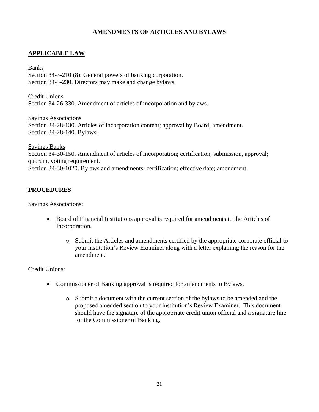## **AMENDMENTS OF ARTICLES AND BYLAWS**

## <span id="page-23-0"></span>**APPLICABLE LAW**

Banks Section 34-3-210 (8). General powers of banking corporation. Section 34-3-230. Directors may make and change bylaws.

Credit Unions Section 34-26-330. Amendment of articles of incorporation and bylaws.

Savings Associations Section 34-28-130. Articles of incorporation content; approval by Board; amendment. Section 34-28-140. Bylaws.

Savings Banks Section 34-30-150. Amendment of articles of incorporation; certification, submission, approval; quorum, voting requirement. Section 34-30-1020. Bylaws and amendments; certification; effective date; amendment.

#### **PROCEDURES**

Savings Associations:

- Board of Financial Institutions approval is required for amendments to the Articles of Incorporation.
	- o Submit the Articles and amendments certified by the appropriate corporate official to your institution's Review Examiner along with a letter explaining the reason for the amendment.

Credit Unions:

- Commissioner of Banking approval is required for amendments to Bylaws.
	- o Submit a document with the current section of the bylaws to be amended and the proposed amended section to your institution's Review Examiner. This document should have the signature of the appropriate credit union official and a signature line for the Commissioner of Banking.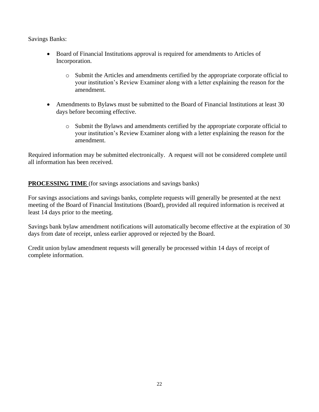Savings Banks:

- Board of Financial Institutions approval is required for amendments to Articles of Incorporation.
	- o Submit the Articles and amendments certified by the appropriate corporate official to your institution's Review Examiner along with a letter explaining the reason for the amendment.
- Amendments to Bylaws must be submitted to the Board of Financial Institutions at least 30 days before becoming effective.
	- o Submit the Bylaws and amendments certified by the appropriate corporate official to your institution's Review Examiner along with a letter explaining the reason for the amendment.

Required information may be submitted electronically. A request will not be considered complete until all information has been received.

**PROCESSING TIME** (for savings associations and savings banks)

For savings associations and savings banks, complete requests will generally be presented at the next meeting of the Board of Financial Institutions (Board), provided all required information is received at least 14 days prior to the meeting.

Savings bank bylaw amendment notifications will automatically become effective at the expiration of 30 days from date of receipt, unless earlier approved or rejected by the Board.

Credit union bylaw amendment requests will generally be processed within 14 days of receipt of complete information.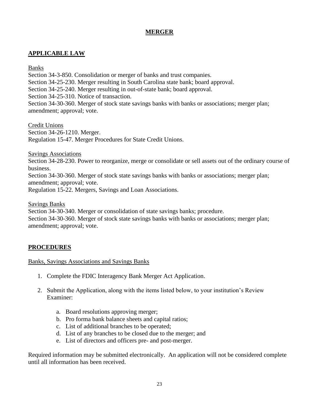## **MERGER**

## <span id="page-25-0"></span>**APPLICABLE LAW**

Banks

Section 34-3-850. Consolidation or merger of banks and trust companies.

Section 34-25-230. Merger resulting in South Carolina state bank; board approval.

Section 34-25-240. Merger resulting in out-of-state bank; board approval.

Section 34-25-310. Notice of transaction.

Section 34-30-360. Merger of stock state savings banks with banks or associations; merger plan; amendment; approval; vote.

Credit Unions Section 34-26-1210. Merger. Regulation 15-47. Merger Procedures for State Credit Unions.

Savings Associations

Section 34-28-230. Power to reorganize, merge or consolidate or sell assets out of the ordinary course of business.

Section 34-30-360. Merger of stock state savings banks with banks or associations; merger plan; amendment; approval; vote.

Regulation 15-22. Mergers, Savings and Loan Associations.

Savings Banks

Section 34-30-340. Merger or consolidation of state savings banks; procedure. Section 34-30-360. Merger of stock state savings banks with banks or associations; merger plan; amendment; approval; vote.

## **PROCEDURES**

## Banks, Savings Associations and Savings Banks

- 1. Complete the FDIC Interagency Bank Merger Act Application.
- 2. Submit the Application, along with the items listed below, to your institution's Review Examiner:
	- a. Board resolutions approving merger;
	- b. Pro forma bank balance sheets and capital ratios;
	- c. List of additional branches to be operated;
	- d. List of any branches to be closed due to the merger; and
	- e. List of directors and officers pre- and post-merger.

Required information may be submitted electronically. An application will not be considered complete until all information has been received.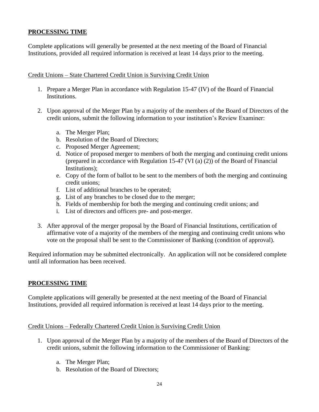## **PROCESSING TIME**

Complete applications will generally be presented at the next meeting of the Board of Financial Institutions, provided all required information is received at least 14 days prior to the meeting.

#### Credit Unions – State Chartered Credit Union is Surviving Credit Union

- 1. Prepare a Merger Plan in accordance with Regulation 15-47 (IV) of the Board of Financial Institutions.
- 2. Upon approval of the Merger Plan by a majority of the members of the Board of Directors of the credit unions, submit the following information to your institution's Review Examiner:
	- a. The Merger Plan;
	- b. Resolution of the Board of Directors;
	- c. Proposed Merger Agreement;
	- d. Notice of proposed merger to members of both the merging and continuing credit unions (prepared in accordance with Regulation 15-47 (VI (a) (2)) of the Board of Financial Institutions);
	- e. Copy of the form of ballot to be sent to the members of both the merging and continuing credit unions;
	- f. List of additional branches to be operated;
	- g. List of any branches to be closed due to the merger;
	- h. Fields of membership for both the merging and continuing credit unions; and
	- i. List of directors and officers pre- and post-merger.
- 3. After approval of the merger proposal by the Board of Financial Institutions, certification of affirmative vote of a majority of the members of the merging and continuing credit unions who vote on the proposal shall be sent to the Commissioner of Banking (condition of approval).

Required information may be submitted electronically. An application will not be considered complete until all information has been received.

## **PROCESSING TIME**

Complete applications will generally be presented at the next meeting of the Board of Financial Institutions, provided all required information is received at least 14 days prior to the meeting.

#### Credit Unions – Federally Chartered Credit Union is Surviving Credit Union

- 1. Upon approval of the Merger Plan by a majority of the members of the Board of Directors of the credit unions, submit the following information to the Commissioner of Banking:
	- a. The Merger Plan;
	- b. Resolution of the Board of Directors;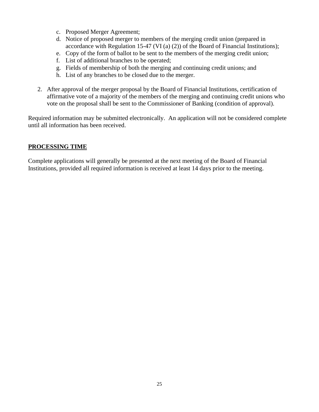- c. Proposed Merger Agreement;
- d. Notice of proposed merger to members of the merging credit union (prepared in accordance with Regulation 15-47 (VI (a) (2)) of the Board of Financial Institutions);
- e. Copy of the form of ballot to be sent to the members of the merging credit union;
- f. List of additional branches to be operated;
- g. Fields of membership of both the merging and continuing credit unions; and
- h. List of any branches to be closed due to the merger.
- 2. After approval of the merger proposal by the Board of Financial Institutions, certification of affirmative vote of a majority of the members of the merging and continuing credit unions who vote on the proposal shall be sent to the Commissioner of Banking (condition of approval).

Required information may be submitted electronically. An application will not be considered complete until all information has been received.

## **PROCESSING TIME**

Complete applications will generally be presented at the next meeting of the Board of Financial Institutions, provided all required information is received at least 14 days prior to the meeting.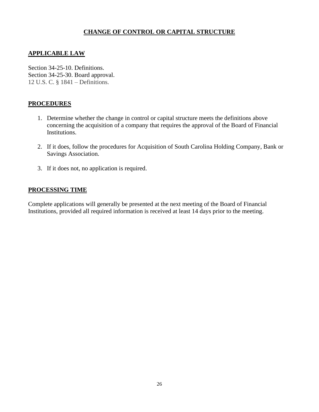## **CHANGE OF CONTROL OR CAPITAL STRUCTURE**

## <span id="page-28-0"></span>**APPLICABLE LAW**

Section 34-25-10. Definitions. Section 34-25-30. Board approval. 12 U.S. C. § 1841 – Definitions.

#### **PROCEDURES**

- 1. Determine whether the change in control or capital structure meets the definitions above concerning the acquisition of a company that requires the approval of the Board of Financial Institutions.
- 2. If it does, follow the procedures for Acquisition of South Carolina Holding Company, Bank or Savings Association.
- 3. If it does not, no application is required.

#### **PROCESSING TIME**

Complete applications will generally be presented at the next meeting of the Board of Financial Institutions, provided all required information is received at least 14 days prior to the meeting.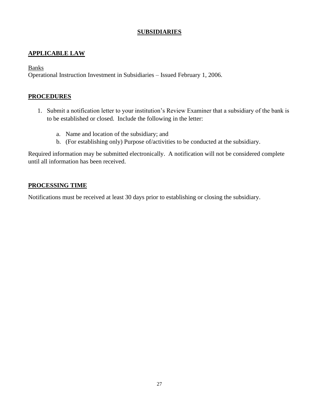## **SUBSIDIARIES**

## <span id="page-29-0"></span>**APPLICABLE LAW**

**Banks** 

Operational Instruction Investment in Subsidiaries – Issued February 1, 2006.

#### **PROCEDURES**

- 1. Submit a notification letter to your institution's Review Examiner that a subsidiary of the bank is to be established or closed. Include the following in the letter:
	- a. Name and location of the subsidiary; and
	- b. (For establishing only) Purpose of/activities to be conducted at the subsidiary.

Required information may be submitted electronically. A notification will not be considered complete until all information has been received.

#### **PROCESSING TIME**

Notifications must be received at least 30 days prior to establishing or closing the subsidiary.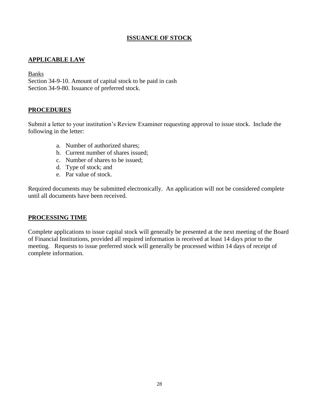## **ISSUANCE OF STOCK**

## <span id="page-30-1"></span><span id="page-30-0"></span>**APPLICABLE LAW**

#### Banks

Section 34-9-10. Amount of capital stock to be paid in cash Section 34-9-80. Issuance of preferred stock.

#### **PROCEDURES**

Submit a letter to your institution's Review Examiner requesting approval to issue stock. Include the following in the letter:

- a. Number of authorized shares;
- b. Current number of shares issued;
- c. Number of shares to be issued;
- d. Type of stock; and
- e. Par value of stock.

Required documents may be submitted electronically. An application will not be considered complete until all documents have been received.

#### **PROCESSING TIME**

Complete applications to issue capital stock will generally be presented at the next meeting of the Board of Financial Institutions, provided all required information is received at least 14 days prior to the meeting. Requests to issue preferred stock will generally be processed within 14 days of receipt of complete information.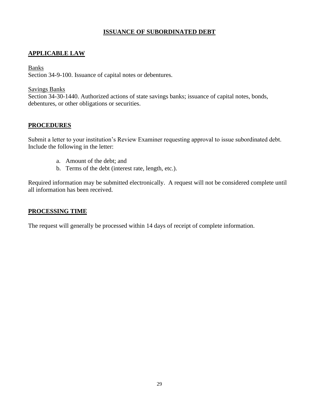## **ISSUANCE OF SUBORDINATED DEBT**

## <span id="page-31-0"></span>**APPLICABLE LAW**

#### **Banks**

Section 34-9-100. Issuance of capital notes or debentures.

#### Savings Banks

Section 34-30-1440. Authorized actions of state savings banks; issuance of capital notes, bonds, debentures, or other obligations or securities.

## **PROCEDURES**

Submit a letter to your institution's Review Examiner requesting approval to issue subordinated debt. Include the following in the letter:

- a. Amount of the debt; and
- b. Terms of the debt (interest rate, length, etc.).

Required information may be submitted electronically. A request will not be considered complete until all information has been received.

## **PROCESSING TIME**

The request will generally be processed within 14 days of receipt of complete information.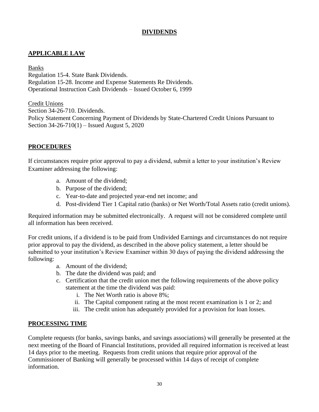## **DIVIDENDS**

## <span id="page-32-0"></span>**APPLICABLE LAW**

Banks Regulation 15-4. State Bank Dividends. Regulation 15-28. Income and Expense Statements Re Dividends. Operational Instruction Cash Dividends – Issued October 6, 1999

Credit Unions Section 34-26-710. Dividends. Policy Statement Concerning Payment of Dividends by State-Chartered Credit Unions Pursuant to Section 34-26-710(1) – Issued August 5, 2020

## **PROCEDURES**

If circumstances require prior approval to pay a dividend, submit a letter to your institution's Review Examiner addressing the following:

- a. Amount of the dividend;
- b. Purpose of the dividend;
- c. Year-to-date and projected year-end net income; and
- d. Post-dividend Tier 1 Capital ratio (banks) or Net Worth/Total Assets ratio (credit unions).

Required information may be submitted electronically. A request will not be considered complete until all information has been received.

For credit unions, if a dividend is to be paid from Undivided Earnings and circumstances do not require prior approval to pay the dividend, as described in the above policy statement, a letter should be submitted to your institution's Review Examiner within 30 days of paying the dividend addressing the following:

- a. Amount of the dividend;
- b. The date the dividend was paid; and
- c. Certification that the credit union met the following requirements of the above policy statement at the time the dividend was paid:
	- i. The Net Worth ratio is above 8%;
	- ii. The Capital component rating at the most recent examination is 1 or 2; and
	- iii. The credit union has adequately provided for a provision for loan losses.

#### **PROCESSING TIME**

Complete requests (for banks, savings banks, and savings associations) will generally be presented at the next meeting of the Board of Financial Institutions, provided all required information is received at least 14 days prior to the meeting. Requests from credit unions that require prior approval of the Commissioner of Banking will generally be processed within 14 days of receipt of complete information.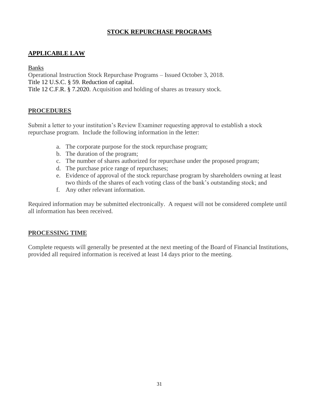## **STOCK REPURCHASE PROGRAMS**

## <span id="page-33-0"></span>**APPLICABLE LAW**

Banks

Operational Instruction Stock Repurchase Programs – Issued October 3, 2018. Title 12 U.S.C. § 59. Reduction of capital. Title 12 C.F.R. § 7.2020. Acquisition and holding of shares as treasury stock.

## **PROCEDURES**

Submit a letter to your institution's Review Examiner requesting approval to establish a stock repurchase program. Include the following information in the letter:

- a. The corporate purpose for the stock repurchase program;
- b. The duration of the program;
- c. The number of shares authorized for repurchase under the proposed program;
- d. The purchase price range of repurchases;
- e. Evidence of approval of the stock repurchase program by shareholders owning at least two thirds of the shares of each voting class of the bank's outstanding stock; and
- f. Any other relevant information.

Required information may be submitted electronically. A request will not be considered complete until all information has been received.

## **PROCESSING TIME**

Complete requests will generally be presented at the next meeting of the Board of Financial Institutions, provided all required information is received at least 14 days prior to the meeting.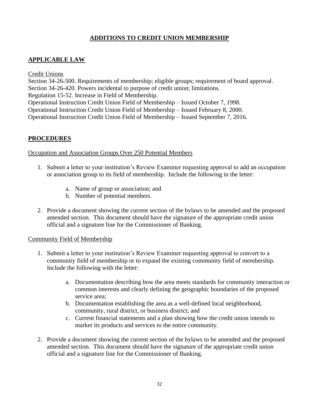## **ADDITIONS TO CREDIT UNION MEMBERSHIP**

## <span id="page-34-1"></span><span id="page-34-0"></span>**APPLICABLE LAW**

Credit Unions Section 34-26-500. Requirements of membership; eligible groups; requirement of board approval. Section 34-26-420. Powers incidental to purpose of credit union; limitations. Regulation 15-52. Increase in Field of Membership. Operational Instruction Credit Union Field of Membership – Issued October 7, 1998. Operational Instruction Credit Union Field of Membership – Issued February 8, 2000. Operational Instruction Credit Union Field of Membership – Issued September 7, 2016.

## **PROCEDURES**

#### Occupation and Association Groups Over 250 Potential Members

- 1. Submit a letter to your institution's Review Examiner requesting approval to add an occupation or association group to its field of membership. Include the following in the letter:
	- a. Name of group or association; and
	- b. Number of potential members.
- 2. Provide a document showing the current section of the bylaws to be amended and the proposed amended section. This document should have the signature of the appropriate credit union official and a signature line for the Commissioner of Banking.

## Community Field of Membership

- 1. Submit a letter to your institution's Review Examiner requesting approval to convert to a community field of membership or to expand the existing community field of membership. Include the following with the letter:
	- a. Documentation describing how the area meets standards for community interaction or common interests and clearly defining the geographic boundaries of the proposed service area;
	- b. Documentation establishing the area as a well-defined local neighborhood, community, rural district, or business district; and
	- c. Current financial statements and a plan showing how the credit union intends to market its products and services to the entire community.
- 2. Provide a document showing the current section of the bylaws to be amended and the proposed amended section. This document should have the signature of the appropriate credit union official and a signature line for the Commissioner of Banking.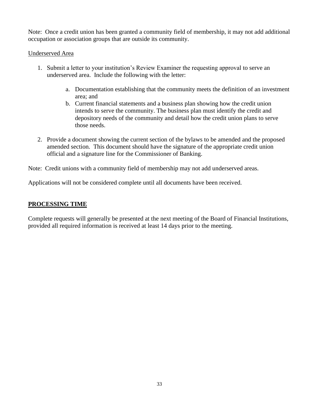Note: Once a credit union has been granted a community field of membership, it may not add additional occupation or association groups that are outside its community.

#### Underserved Area

- 1. Submit a letter to your institution's Review Examiner the requesting approval to serve an underserved area. Include the following with the letter:
	- a. Documentation establishing that the community meets the definition of an investment area; and
	- b. Current financial statements and a business plan showing how the credit union intends to serve the community. The business plan must identify the credit and depository needs of the community and detail how the credit union plans to serve those needs.
- 2. Provide a document showing the current section of the bylaws to be amended and the proposed amended section. This document should have the signature of the appropriate credit union official and a signature line for the Commissioner of Banking.

Note: Credit unions with a community field of membership may not add underserved areas.

Applications will not be considered complete until all documents have been received.

## **PROCESSING TIME**

Complete requests will generally be presented at the next meeting of the Board of Financial Institutions, provided all required information is received at least 14 days prior to the meeting.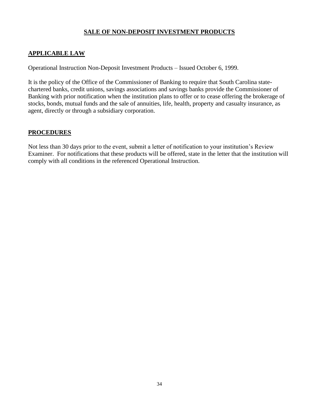## **SALE OF NON-DEPOSIT INVESTMENT PRODUCTS**

## <span id="page-36-0"></span>**APPLICABLE LAW**

Operational Instruction Non-Deposit Investment Products – Issued October 6, 1999.

It is the policy of the Office of the Commissioner of Banking to require that South Carolina statechartered banks, credit unions, savings associations and savings banks provide the Commissioner of Banking with prior notification when the institution plans to offer or to cease offering the brokerage of stocks, bonds, mutual funds and the sale of annuities, life, health, property and casualty insurance, as agent, directly or through a subsidiary corporation.

#### **PROCEDURES**

Not less than 30 days prior to the event, submit a letter of notification to your institution's Review Examiner. For notifications that these products will be offered, state in the letter that the institution will comply with all conditions in the referenced Operational Instruction.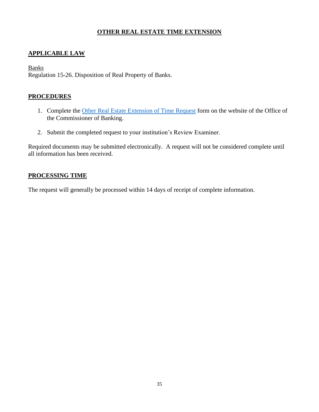## **OTHER REAL ESTATE TIME EXTENSION**

## <span id="page-37-0"></span>**APPLICABLE LAW**

#### **Banks**

Regulation 15-26. Disposition of Real Property of Banks.

#### **PROCEDURES**

- 1. Complete the [Other Real Estate Extension of Time Request](https://banking.sc.gov/sites/default/files/Documents/Forms/ap%20and%20form/ORE%20Extension.pdf) form on the website of the Office of the Commissioner of Banking.
- 2. Submit the completed request to your institution's Review Examiner.

Required documents may be submitted electronically. A request will not be considered complete until all information has been received.

## **PROCESSING TIME**

The request will generally be processed within 14 days of receipt of complete information.